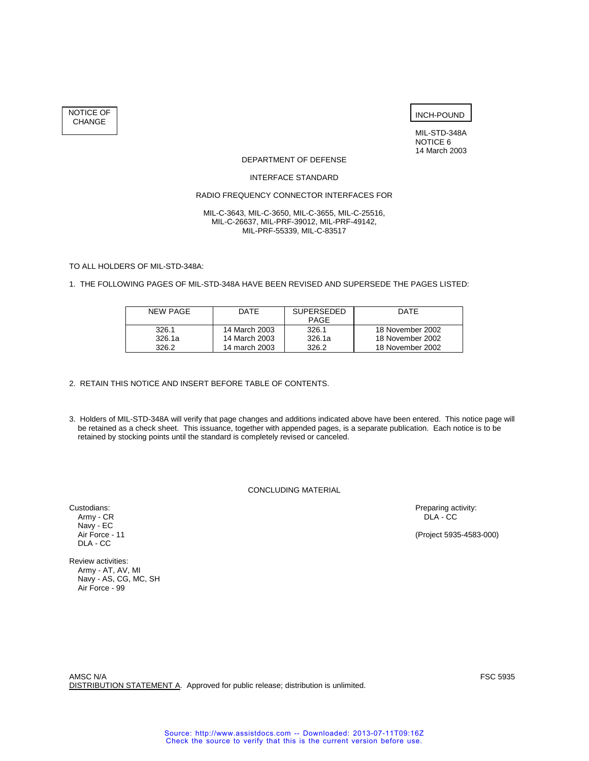NOTICE OF CHANGE

INCH-POUND

MIL-STD-348A NOTICE 6 14 March 2003

#### DEPARTMENT OF DEFENSE

### INTERFACE STANDARD

# RADIO FREQUENCY CONNECTOR INTERFACES FOR

#### MIL-C-3643, MIL-C-3650, MIL-C-3655, MIL-C-25516, MIL-C-26637, MIL-PRF-39012, MIL-PRF-49142, MIL-PRF-55339, MIL-C-83517

TO ALL HOLDERS OF MIL-STD-348A:

## 1. THE FOLLOWING PAGES OF MIL-STD-348A HAVE BEEN REVISED AND SUPERSEDE THE PAGES LISTED:

| NFW PAGF | <b>DATE</b>   | <b>SUPERSEDED</b><br><b>PAGE</b> | DATF             |  |
|----------|---------------|----------------------------------|------------------|--|
| 326.1    | 14 March 2003 | 326.1                            | 18 November 2002 |  |
| 326.1a   | 14 March 2003 | 326.1a                           | 18 November 2002 |  |
| 326.2    | 14 march 2003 | 326.2                            | 18 November 2002 |  |

## 2. RETAIN THIS NOTICE AND INSERT BEFORE TABLE OF CONTENTS.

3. Holders of MIL-STD-348A will verify that page changes and additions indicated above have been entered. This notice page will be retained as a check sheet. This issuance, together with appended pages, is a separate publication. Each notice is to be retained by stocking points until the standard is completely revised or canceled.

CONCLUDING MATERIAL

Army - CR DLA - CC DRA - CC DRA - CC DRA - CC DRA - CC DRA - CC DRA - CC DRA - CC DRA - CC DRA - CC DRA - CC DRA - CC DRA - CC DRA - CC DRA - CC DRA - CC DRA - CC DRA - CC DRA - CC DRA - CC DRA - CC DRA - CC DRA - CC DRA -Navy - EC<br>Air Force - 11 DLA - CC

Review activities: Army - AT, AV, MI Navy - AS, CG, MC, SH Air Force - 99

Custodians: Preparing activity: Army - CR Custodians: Preparing activity: Army - CR CC DLA - CC

(Project 5935-4583-000)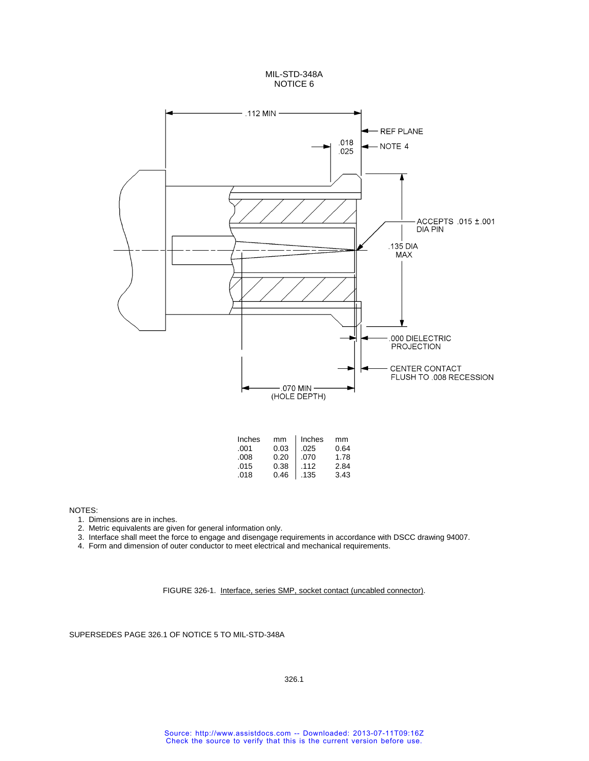



NOTES:

1. Dimensions are in inches.

2. Metric equivalents are given for general information only.

- 3. Interface shall meet the force to engage and disengage requirements in accordance with DSCC drawing 94007.
- 4. Form and dimension of outer conductor to meet electrical and mechanical requirements.

FIGURE 326-1. Interface, series SMP, socket contact (uncabled connector).

SUPERSEDES PAGE 326.1 OF NOTICE 5 TO MIL-STD-348A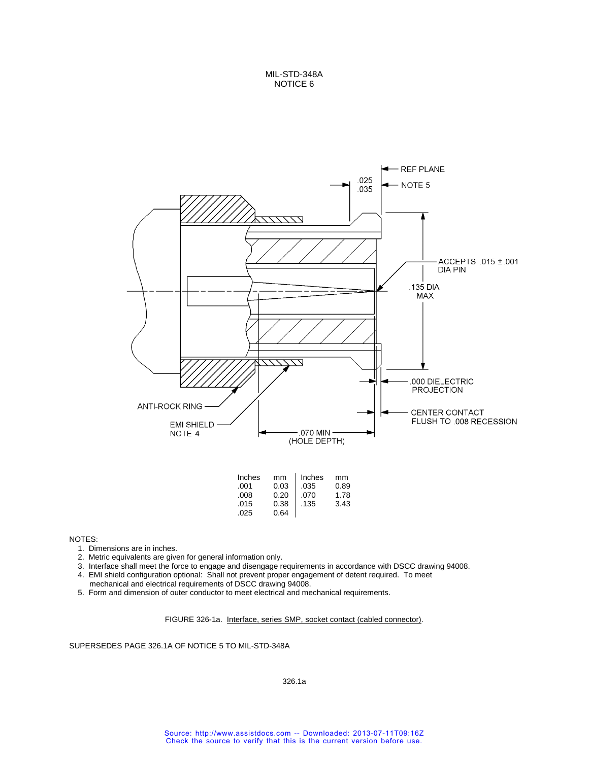MIL-STD-348A NOTICE 6



| Inches | mm   | Inches | mm   |
|--------|------|--------|------|
| .001   | 0.03 | .035   | 0.89 |
| .008   | 0.20 | .070   | 1.78 |
| .015   | 0.38 | .135   | 3.43 |
| .025   | 0.64 |        |      |

NOTES:

- 1. Dimensions are in inches.
- 2. Metric equivalents are given for general information only.
- 3. Interface shall meet the force to engage and disengage requirements in accordance with DSCC drawing 94008.
- 4. EMI shield configuration optional: Shall not prevent proper engagement of detent required. To meet
- mechanical and electrical requirements of DSCC drawing 94008.
- 5. Form and dimension of outer conductor to meet electrical and mechanical requirements.

FIGURE 326-1a. Interface, series SMP, socket contact (cabled connector).

SUPERSEDES PAGE 326.1A OF NOTICE 5 TO MIL-STD-348A

326.1a